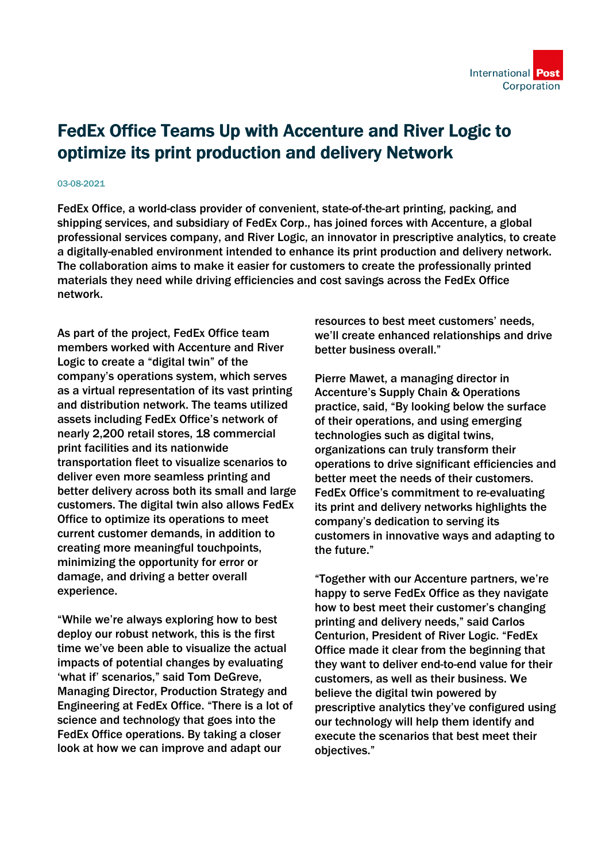## FedEx Office Teams Up with Accenture and River Logic to optimize its print production and delivery Network

## 03-08-2021

FedEx Office, a world-class provider of convenient, state-of-the-art printing, packing, and shipping services, and subsidiary of FedEx Corp., has joined forces with Accenture, a global professional services company, and River Logic, an innovator in prescriptive analytics, to create a digitally-enabled environment intended to enhance its print production and delivery network. The collaboration aims to make it easier for customers to create the professionally printed materials they need while driving efficiencies and cost savings across the FedEx Office network.

As part of the project, FedEx Office team members worked with Accenture and River Logic to create a "digital twin" of the company's operations system, which serves as a virtual representation of its vast printing and distribution network. The teams utilized assets including FedEx Office's network of nearly 2,200 retail stores, 18 commercial print facilities and its nationwide transportation fleet to visualize scenarios to deliver even more seamless printing and better delivery across both its small and large customers. The digital twin also allows FedEx Office to optimize its operations to meet current customer demands, in addition to creating more meaningful touchpoints, minimizing the opportunity for error or damage, and driving a better overall experience.

"While we're always exploring how to best deploy our robust network, this is the first time we've been able to visualize the actual impacts of potential changes by evaluating 'what if' scenarios," said Tom DeGreve, Managing Director, Production Strategy and Engineering at FedEx Office. "There is a lot of science and technology that goes into the FedEx Office operations. By taking a closer look at how we can improve and adapt our

resources to best meet customers' needs, we'll create enhanced relationships and drive better business overall."

Pierre Mawet, a managing director in Accenture's Supply Chain & Operations practice, said, "By looking below the surface of their operations, and using emerging technologies such as digital twins, organizations can truly transform their operations to drive significant efficiencies and better meet the needs of their customers. FedEx Office's commitment to re-evaluating its print and delivery networks highlights the company's dedication to serving its customers in innovative ways and adapting to the future."

"Together with our Accenture partners, we're happy to serve FedEx Office as they navigate how to best meet their customer's changing printing and delivery needs," said Carlos Centurion, President of River Logic. "FedEx Office made it clear from the beginning that they want to deliver end-to-end value for their customers, as well as their business. We believe the digital twin powered by prescriptive analytics they've configured using our technology will help them identify and execute the scenarios that best meet their objectives."